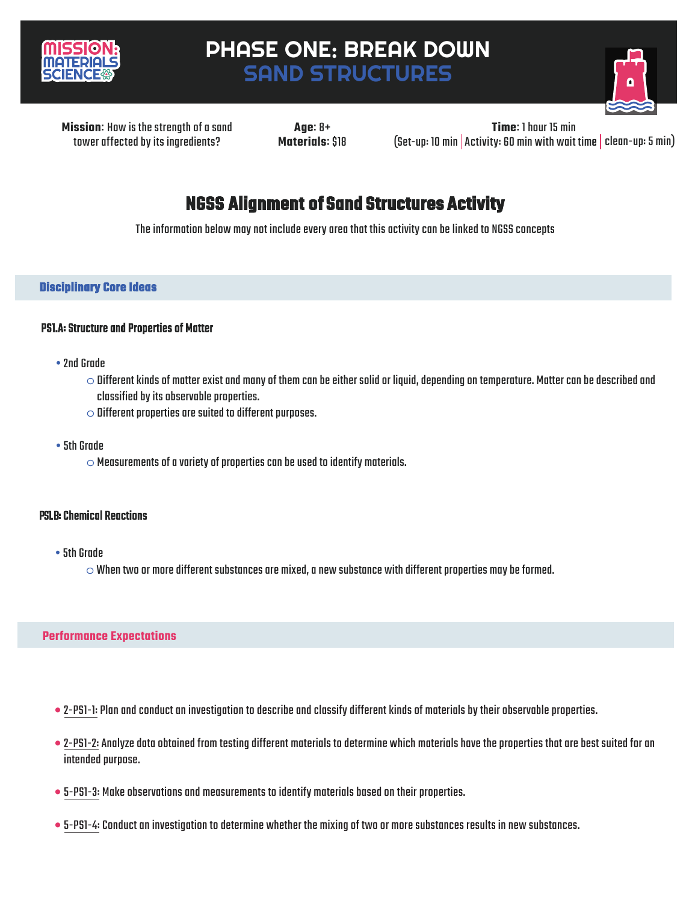

# PHASE ONE: BREAK DOWN SAND STRUCTURES



**Missionः** How is the strength of a sand tower affected by its ingredients?

**Ageः** 8+ **Materialsः** \$18 (Set-up: 10 min Activity: 60 min with wait time clean-up: 5 min) **Timeः** 1 hour 15 min

## **NGSS Alignment of Sand Structures Activity**

The information below may not include every area that this activity can be linked to NGSS concepts

### **Disciplinary Core Ideas**

### PS1.A: Structure and Properties of Matter

- •2nd Grade
	- $\circ$  Different kinds of matter exist and many of them can be either solid or liquid, depending on temperature. Matter can be described and classified by its observable properties.
	- $\circ$  Different properties are suited to different purposes.
- •5th Grade
	- $\circ$  Measurements of a variety of properties can be used to identify materials.

### PS1.B: Chemical Reactions

- 5th Grade
	- $\circ$  When two or more different substances are mixed, a new substance with different properties may be formed.

### **Performance Expectations**

- 2-PS1-1: Plan and conduct an investigation to describe and classify different kinds of materials by their observable properties.
- 2-PS1-2: Analyze data obtained from testing different materials to determine which materials have the properties that are best suited for an intended purpose.
- 5-PS1-3: Make observations and measurements to identify materials based on their properties.
- 5-PS1-4: Conduct an investigation to determine whether the mixing of two or more substances results in new substances.